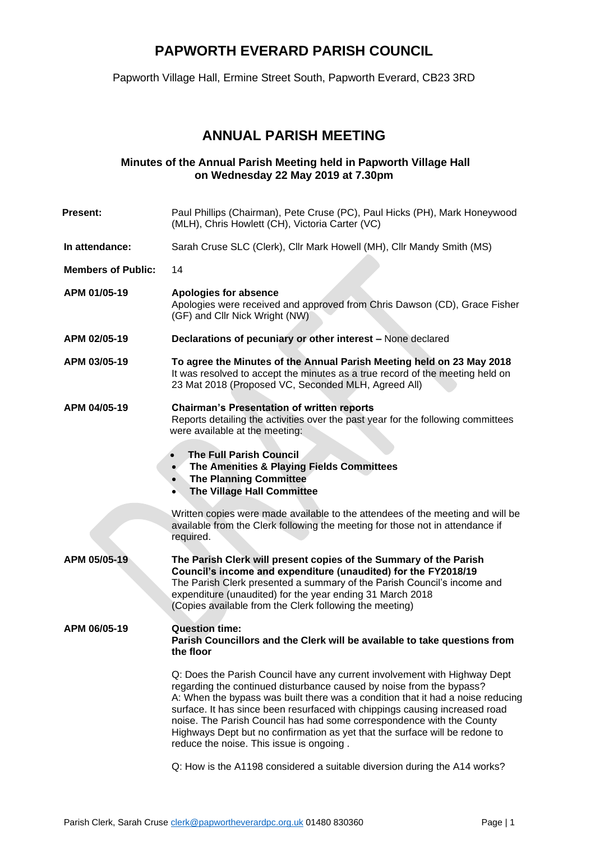## **PAPWORTH EVERARD PARISH COUNCIL**

Papworth Village Hall, Ermine Street South, Papworth Everard, CB23 3RD

### **ANNUAL PARISH MEETING**

#### **Minutes of the Annual Parish Meeting held in Papworth Village Hall on Wednesday 22 May 2019 at 7.30pm**

| <b>Present:</b>           | Paul Phillips (Chairman), Pete Cruse (PC), Paul Hicks (PH), Mark Honeywood<br>(MLH), Chris Howlett (CH), Victoria Carter (VC)                                                                                                                                                                                                                                                                                                                                                                                           |
|---------------------------|-------------------------------------------------------------------------------------------------------------------------------------------------------------------------------------------------------------------------------------------------------------------------------------------------------------------------------------------------------------------------------------------------------------------------------------------------------------------------------------------------------------------------|
| In attendance:            | Sarah Cruse SLC (Clerk), Cllr Mark Howell (MH), Cllr Mandy Smith (MS)                                                                                                                                                                                                                                                                                                                                                                                                                                                   |
| <b>Members of Public:</b> | 14                                                                                                                                                                                                                                                                                                                                                                                                                                                                                                                      |
| APM 01/05-19              | Apologies for absence<br>Apologies were received and approved from Chris Dawson (CD), Grace Fisher<br>(GF) and Cllr Nick Wright (NW)                                                                                                                                                                                                                                                                                                                                                                                    |
| APM 02/05-19              | Declarations of pecuniary or other interest - None declared                                                                                                                                                                                                                                                                                                                                                                                                                                                             |
| APM 03/05-19              | To agree the Minutes of the Annual Parish Meeting held on 23 May 2018<br>It was resolved to accept the minutes as a true record of the meeting held on<br>23 Mat 2018 (Proposed VC, Seconded MLH, Agreed All)                                                                                                                                                                                                                                                                                                           |
| APM 04/05-19              | <b>Chairman's Presentation of written reports</b><br>Reports detailing the activities over the past year for the following committees<br>were available at the meeting:                                                                                                                                                                                                                                                                                                                                                 |
|                           | <b>The Full Parish Council</b><br>$\bullet$<br>The Amenities & Playing Fields Committees<br>$\bullet$<br><b>The Planning Committee</b><br>$\bullet$<br>The Village Hall Committee<br>$\bullet$                                                                                                                                                                                                                                                                                                                          |
|                           | Written copies were made available to the attendees of the meeting and will be<br>available from the Clerk following the meeting for those not in attendance if<br>required.                                                                                                                                                                                                                                                                                                                                            |
| APM 05/05-19              | The Parish Clerk will present copies of the Summary of the Parish<br>Council's income and expenditure (unaudited) for the FY2018/19<br>The Parish Clerk presented a summary of the Parish Council's income and<br>expenditure (unaudited) for the year ending 31 March 2018<br>(Copies available from the Clerk following the meeting)                                                                                                                                                                                  |
| APM 06/05-19              | <b>Question time:</b><br>Parish Councillors and the Clerk will be available to take questions from<br>the floor                                                                                                                                                                                                                                                                                                                                                                                                         |
|                           | Q: Does the Parish Council have any current involvement with Highway Dept<br>regarding the continued disturbance caused by noise from the bypass?<br>A: When the bypass was built there was a condition that it had a noise reducing<br>surface. It has since been resurfaced with chippings causing increased road<br>noise. The Parish Council has had some correspondence with the County<br>Highways Dept but no confirmation as yet that the surface will be redone to<br>reduce the noise. This issue is ongoing. |

Q: How is the A1198 considered a suitable diversion during the A14 works?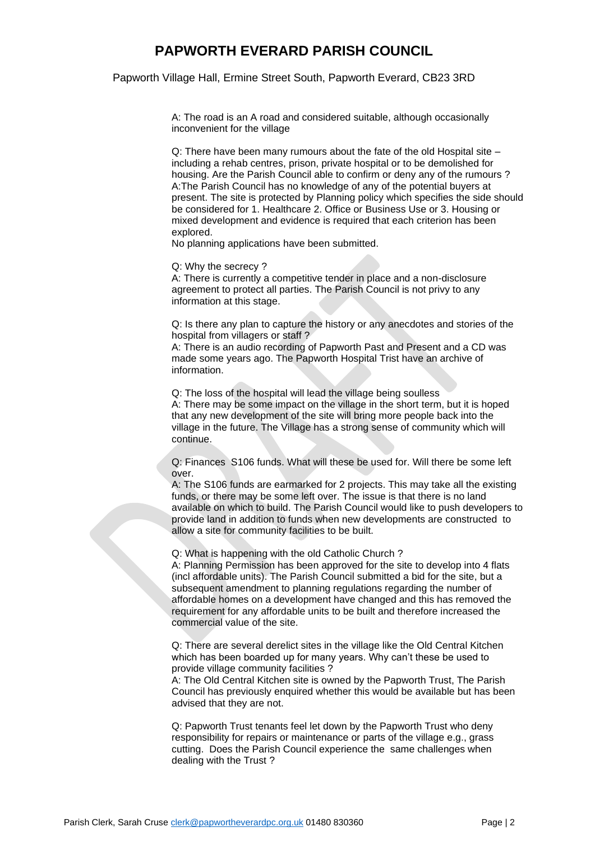### **PAPWORTH EVERARD PARISH COUNCIL**

Papworth Village Hall, Ermine Street South, Papworth Everard, CB23 3RD

A: The road is an A road and considered suitable, although occasionally inconvenient for the village

Q: There have been many rumours about the fate of the old Hospital site – including a rehab centres, prison, private hospital or to be demolished for housing. Are the Parish Council able to confirm or deny any of the rumours ? A:The Parish Council has no knowledge of any of the potential buyers at present. The site is protected by Planning policy which specifies the side should be considered for 1. Healthcare 2. Office or Business Use or 3. Housing or mixed development and evidence is required that each criterion has been explored.

No planning applications have been submitted.

Q: Why the secrecy ?

A: There is currently a competitive tender in place and a non-disclosure agreement to protect all parties. The Parish Council is not privy to any information at this stage.

Q: Is there any plan to capture the history or any anecdotes and stories of the hospital from villagers or staff ?

A: There is an audio recording of Papworth Past and Present and a CD was made some years ago. The Papworth Hospital Trist have an archive of information.

Q: The loss of the hospital will lead the village being soulless A: There may be some impact on the village in the short term, but it is hoped that any new development of the site will bring more people back into the village in the future. The Village has a strong sense of community which will continue.

Q: Finances S106 funds. What will these be used for. Will there be some left over.

A: The S106 funds are earmarked for 2 projects. This may take all the existing funds, or there may be some left over. The issue is that there is no land available on which to build. The Parish Council would like to push developers to provide land in addition to funds when new developments are constructed to allow a site for community facilities to be built.

Q: What is happening with the old Catholic Church ?

A: Planning Permission has been approved for the site to develop into 4 flats (incl affordable units). The Parish Council submitted a bid for the site, but a subsequent amendment to planning regulations regarding the number of affordable homes on a development have changed and this has removed the requirement for any affordable units to be built and therefore increased the commercial value of the site.

Q: There are several derelict sites in the village like the Old Central Kitchen which has been boarded up for many years. Why can't these be used to provide village community facilities ?

A: The Old Central Kitchen site is owned by the Papworth Trust, The Parish Council has previously enquired whether this would be available but has been advised that they are not.

Q: Papworth Trust tenants feel let down by the Papworth Trust who deny responsibility for repairs or maintenance or parts of the village e.g., grass cutting. Does the Parish Council experience the same challenges when dealing with the Trust ?